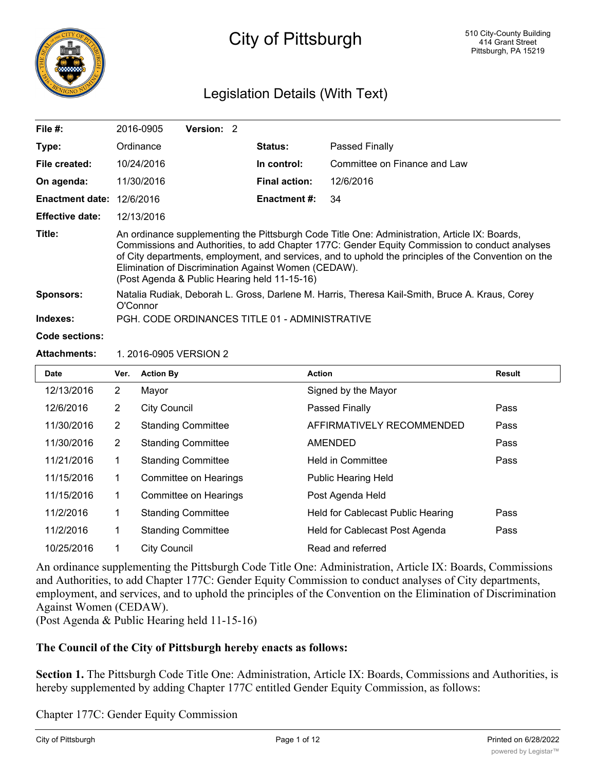

# City of Pittsburgh

## Legislation Details (With Text)

| File $#$ :             | 2016-0905                                                                                                                                                                                                                                                                                                                                                                                                       | <b>Version: 2</b> |  |                      |                              |  |  |
|------------------------|-----------------------------------------------------------------------------------------------------------------------------------------------------------------------------------------------------------------------------------------------------------------------------------------------------------------------------------------------------------------------------------------------------------------|-------------------|--|----------------------|------------------------------|--|--|
| Type:                  | Ordinance                                                                                                                                                                                                                                                                                                                                                                                                       |                   |  | <b>Status:</b>       | Passed Finally               |  |  |
| File created:          | 10/24/2016                                                                                                                                                                                                                                                                                                                                                                                                      |                   |  | In control:          | Committee on Finance and Law |  |  |
| On agenda:             | 11/30/2016                                                                                                                                                                                                                                                                                                                                                                                                      |                   |  | <b>Final action:</b> | 12/6/2016                    |  |  |
| <b>Enactment date:</b> | 12/6/2016                                                                                                                                                                                                                                                                                                                                                                                                       |                   |  | Enactment #:         | 34                           |  |  |
| <b>Effective date:</b> | 12/13/2016                                                                                                                                                                                                                                                                                                                                                                                                      |                   |  |                      |                              |  |  |
| Title:                 | An ordinance supplementing the Pittsburgh Code Title One: Administration, Article IX: Boards,<br>Commissions and Authorities, to add Chapter 177C: Gender Equity Commission to conduct analyses<br>of City departments, employment, and services, and to uphold the principles of the Convention on the<br>Elimination of Discrimination Against Women (CEDAW).<br>(Post Agenda & Public Hearing held 11-15-16) |                   |  |                      |                              |  |  |
| <b>Sponsors:</b>       | Natalia Rudiak, Deborah L. Gross, Darlene M. Harris, Theresa Kail-Smith, Bruce A. Kraus, Corey<br>O'Connor                                                                                                                                                                                                                                                                                                      |                   |  |                      |                              |  |  |
| Indexes:               | PGH, CODE ORDINANCES TITLE 01 - ADMINISTRATIVE                                                                                                                                                                                                                                                                                                                                                                  |                   |  |                      |                              |  |  |
| <b>Code sections:</b>  |                                                                                                                                                                                                                                                                                                                                                                                                                 |                   |  |                      |                              |  |  |
|                        |                                                                                                                                                                                                                                                                                                                                                                                                                 |                   |  |                      |                              |  |  |

#### **Attachments:** 1. 2016-0905 VERSION 2

| <b>Date</b> | Ver. | <b>Action By</b>          | <b>Action</b>                     | <b>Result</b> |
|-------------|------|---------------------------|-----------------------------------|---------------|
| 12/13/2016  | 2    | Mayor                     | Signed by the Mayor               |               |
| 12/6/2016   | 2    | <b>City Council</b>       | Passed Finally                    | Pass          |
| 11/30/2016  | 2    | <b>Standing Committee</b> | AFFIRMATIVELY RECOMMENDED         | Pass          |
| 11/30/2016  | 2    | <b>Standing Committee</b> | AMENDED                           | Pass          |
| 11/21/2016  | 1    | <b>Standing Committee</b> | <b>Held in Committee</b>          | Pass          |
| 11/15/2016  | 1    | Committee on Hearings     | <b>Public Hearing Held</b>        |               |
| 11/15/2016  | 1    | Committee on Hearings     | Post Agenda Held                  |               |
| 11/2/2016   | 1    | <b>Standing Committee</b> | Held for Cablecast Public Hearing | Pass          |
| 11/2/2016   | 1    | <b>Standing Committee</b> | Held for Cablecast Post Agenda    | Pass          |
| 10/25/2016  |      | <b>City Council</b>       | Read and referred                 |               |

An ordinance supplementing the Pittsburgh Code Title One: Administration, Article IX: Boards, Commissions and Authorities, to add Chapter 177C: Gender Equity Commission to conduct analyses of City departments, employment, and services, and to uphold the principles of the Convention on the Elimination of Discrimination Against Women (CEDAW).

(Post Agenda & Public Hearing held 11-15-16)

#### **The Council of the City of Pittsburgh hereby enacts as follows:**

**Section 1.** The Pittsburgh Code Title One: Administration, Article IX: Boards, Commissions and Authorities, is hereby supplemented by adding Chapter 177C entitled Gender Equity Commission, as follows:

Chapter 177C: Gender Equity Commission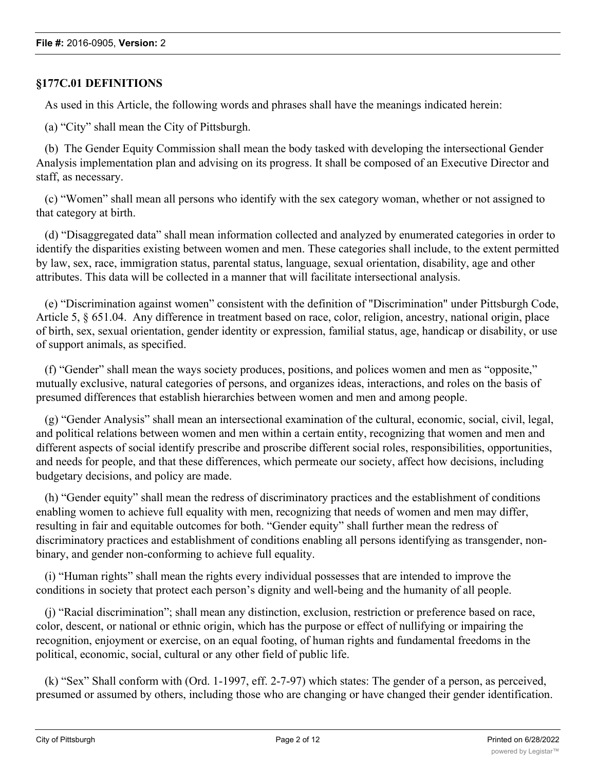## **§177C.01 DEFINITIONS**

As used in this Article, the following words and phrases shall have the meanings indicated herein:

(a) "City" shall mean the City of Pittsburgh.

 (b) The Gender Equity Commission shall mean the body tasked with developing the intersectional Gender Analysis implementation plan and advising on its progress. It shall be composed of an Executive Director and staff, as necessary.

 (c) "Women" shall mean all persons who identify with the sex category woman, whether or not assigned to that category at birth.

 (d) "Disaggregated data" shall mean information collected and analyzed by enumerated categories in order to identify the disparities existing between women and men. These categories shall include, to the extent permitted by law, sex, race, immigration status, parental status, language, sexual orientation, disability, age and other attributes. This data will be collected in a manner that will facilitate intersectional analysis.

 (e) "Discrimination against women" consistent with the definition of "Discrimination" under Pittsburgh Code, Article 5, § 651.04. Any difference in treatment based on race, color, religion, ancestry, national origin, place of birth, sex, sexual orientation, gender identity or expression, familial status, age, handicap or disability, or use of support animals, as specified.

 (f) "Gender" shall mean the ways society produces, positions, and polices women and men as "opposite," mutually exclusive, natural categories of persons, and organizes ideas, interactions, and roles on the basis of presumed differences that establish hierarchies between women and men and among people.

 (g) "Gender Analysis" shall mean an intersectional examination of the cultural, economic, social, civil, legal, and political relations between women and men within a certain entity, recognizing that women and men and different aspects of social identify prescribe and proscribe different social roles, responsibilities, opportunities, and needs for people, and that these differences, which permeate our society, affect how decisions, including budgetary decisions, and policy are made.

 (h) "Gender equity" shall mean the redress of discriminatory practices and the establishment of conditions enabling women to achieve full equality with men, recognizing that needs of women and men may differ, resulting in fair and equitable outcomes for both. "Gender equity" shall further mean the redress of discriminatory practices and establishment of conditions enabling all persons identifying as transgender, nonbinary, and gender non-conforming to achieve full equality.

 (i) "Human rights" shall mean the rights every individual possesses that are intended to improve the conditions in society that protect each person's dignity and well-being and the humanity of all people.

 (j) "Racial discrimination"; shall mean any distinction, exclusion, restriction or preference based on race, color, descent, or national or ethnic origin, which has the purpose or effect of nullifying or impairing the recognition, enjoyment or exercise, on an equal footing, of human rights and fundamental freedoms in the political, economic, social, cultural or any other field of public life.

 (k) "Sex" Shall conform with (Ord. 1-1997, eff. 2-7-97) which states: The gender of a person, as perceived, presumed or assumed by others, including those who are changing or have changed their gender identification.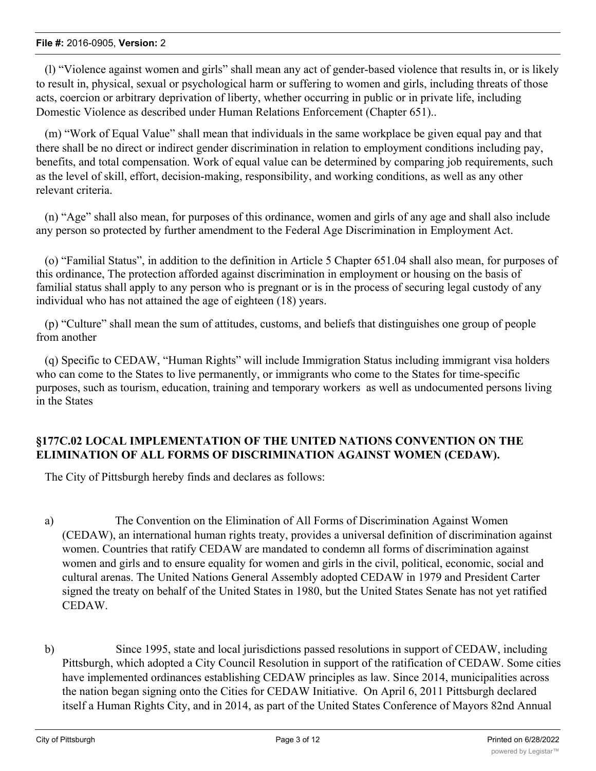#### **File #:** 2016-0905, **Version:** 2

 (l) "Violence against women and girls" shall mean any act of gender-based violence that results in, or is likely to result in, physical, sexual or psychological harm or suffering to women and girls, including threats of those acts, coercion or arbitrary deprivation of liberty, whether occurring in public or in private life, including Domestic Violence as described under Human Relations Enforcement (Chapter 651)..

 (m) "Work of Equal Value" shall mean that individuals in the same workplace be given equal pay and that there shall be no direct or indirect gender discrimination in relation to employment conditions including pay, benefits, and total compensation. Work of equal value can be determined by comparing job requirements, such as the level of skill, effort, decision-making, responsibility, and working conditions, as well as any other relevant criteria.

 (n) "Age" shall also mean, for purposes of this ordinance, women and girls of any age and shall also include any person so protected by further amendment to the Federal Age Discrimination in Employment Act.

 (o) "Familial Status", in addition to the definition in Article 5 Chapter 651.04 shall also mean, for purposes of this ordinance, The protection afforded against discrimination in employment or housing on the basis of familial status shall apply to any person who is pregnant or is in the process of securing legal custody of any individual who has not attained the age of eighteen (18) years.

 (p) "Culture" shall mean the sum of attitudes, customs, and beliefs that distinguishes one group of people from another

 (q) Specific to CEDAW, "Human Rights" will include Immigration Status including immigrant visa holders who can come to the States to live permanently, or immigrants who come to the States for time-specific purposes, such as tourism, education, training and temporary workers as well as undocumented persons living in the States

## **§177C.02 LOCAL IMPLEMENTATION OF THE UNITED NATIONS CONVENTION ON THE ELIMINATION OF ALL FORMS OF DISCRIMINATION AGAINST WOMEN (CEDAW).**

The City of Pittsburgh hereby finds and declares as follows:

- a) The Convention on the Elimination of All Forms of Discrimination Against Women (CEDAW), an international human rights treaty, provides a universal definition of discrimination against women. Countries that ratify CEDAW are mandated to condemn all forms of discrimination against women and girls and to ensure equality for women and girls in the civil, political, economic, social and cultural arenas. The United Nations General Assembly adopted CEDAW in 1979 and President Carter signed the treaty on behalf of the United States in 1980, but the United States Senate has not yet ratified CEDAW.
- b) Since 1995, state and local jurisdictions passed resolutions in support of CEDAW, including Pittsburgh, which adopted a City Council Resolution in support of the ratification of CEDAW. Some cities have implemented ordinances establishing CEDAW principles as law. Since 2014, municipalities across the nation began signing onto the Cities for CEDAW Initiative. On April 6, 2011 Pittsburgh declared itself a Human Rights City, and in 2014, as part of the United States Conference of Mayors 82nd Annual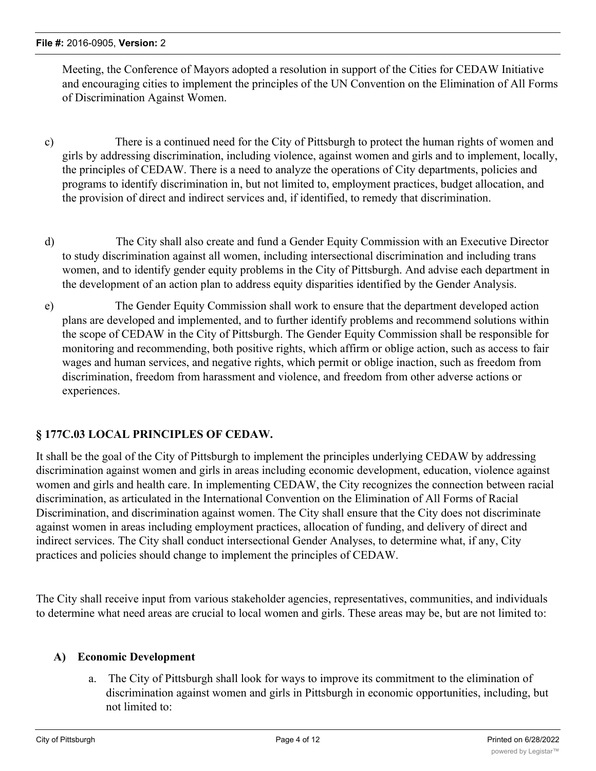Meeting, the Conference of Mayors adopted a resolution in support of the Cities for CEDAW Initiative and encouraging cities to implement the principles of the UN Convention on the Elimination of All Forms of Discrimination Against Women.

- c) There is a continued need for the City of Pittsburgh to protect the human rights of women and girls by addressing discrimination, including violence, against women and girls and to implement, locally, the principles of CEDAW. There is a need to analyze the operations of City departments, policies and programs to identify discrimination in, but not limited to, employment practices, budget allocation, and the provision of direct and indirect services and, if identified, to remedy that discrimination.
- d) The City shall also create and fund a Gender Equity Commission with an Executive Director to study discrimination against all women, including intersectional discrimination and including trans women, and to identify gender equity problems in the City of Pittsburgh. And advise each department in the development of an action plan to address equity disparities identified by the Gender Analysis.
- e) The Gender Equity Commission shall work to ensure that the department developed action plans are developed and implemented, and to further identify problems and recommend solutions within the scope of CEDAW in the City of Pittsburgh. The Gender Equity Commission shall be responsible for monitoring and recommending, both positive rights, which affirm or oblige action, such as access to fair wages and human services, and negative rights, which permit or oblige inaction, such as freedom from discrimination, freedom from harassment and violence, and freedom from other adverse actions or experiences.

## **§ 177C.03 LOCAL PRINCIPLES OF CEDAW.**

It shall be the goal of the City of Pittsburgh to implement the principles underlying CEDAW by addressing discrimination against women and girls in areas including economic development, education, violence against women and girls and health care. In implementing CEDAW, the City recognizes the connection between racial discrimination, as articulated in the International Convention on the Elimination of All Forms of Racial Discrimination, and discrimination against women. The City shall ensure that the City does not discriminate against women in areas including employment practices, allocation of funding, and delivery of direct and indirect services. The City shall conduct intersectional Gender Analyses, to determine what, if any, City practices and policies should change to implement the principles of CEDAW.

The City shall receive input from various stakeholder agencies, representatives, communities, and individuals to determine what need areas are crucial to local women and girls. These areas may be, but are not limited to:

## **A) Economic Development**

a. The City of Pittsburgh shall look for ways to improve its commitment to the elimination of discrimination against women and girls in Pittsburgh in economic opportunities, including, but not limited to: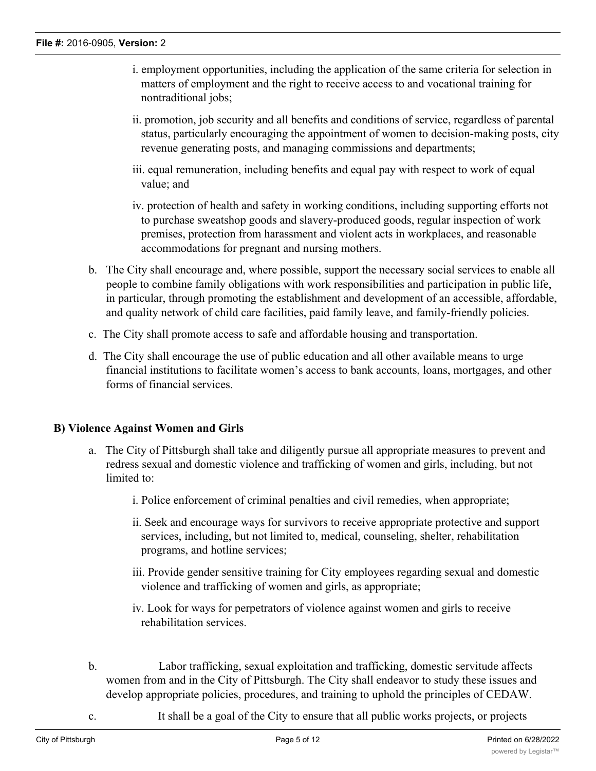- i. employment opportunities, including the application of the same criteria for selection in matters of employment and the right to receive access to and vocational training for nontraditional jobs;
- ii. promotion, job security and all benefits and conditions of service, regardless of parental status, particularly encouraging the appointment of women to decision-making posts, city revenue generating posts, and managing commissions and departments;
- iii. equal remuneration, including benefits and equal pay with respect to work of equal value; and
- iv. protection of health and safety in working conditions, including supporting efforts not to purchase sweatshop goods and slavery-produced goods, regular inspection of work premises, protection from harassment and violent acts in workplaces, and reasonable accommodations for pregnant and nursing mothers.
- b. The City shall encourage and, where possible, support the necessary social services to enable all people to combine family obligations with work responsibilities and participation in public life, in particular, through promoting the establishment and development of an accessible, affordable, and quality network of child care facilities, paid family leave, and family-friendly policies.
- c. The City shall promote access to safe and affordable housing and transportation.
- d. The City shall encourage the use of public education and all other available means to urge financial institutions to facilitate women's access to bank accounts, loans, mortgages, and other forms of financial services.

## **B) Violence Against Women and Girls**

- a. The City of Pittsburgh shall take and diligently pursue all appropriate measures to prevent and redress sexual and domestic violence and trafficking of women and girls, including, but not limited to:
	- i. Police enforcement of criminal penalties and civil remedies, when appropriate;
	- ii. Seek and encourage ways for survivors to receive appropriate protective and support services, including, but not limited to, medical, counseling, shelter, rehabilitation programs, and hotline services;
	- iii. Provide gender sensitive training for City employees regarding sexual and domestic violence and trafficking of women and girls, as appropriate;
	- iv. Look for ways for perpetrators of violence against women and girls to receive rehabilitation services.
- b. Labor trafficking, sexual exploitation and trafficking, domestic servitude affects women from and in the City of Pittsburgh. The City shall endeavor to study these issues and develop appropriate policies, procedures, and training to uphold the principles of CEDAW.
- c. It shall be a goal of the City to ensure that all public works projects, or projects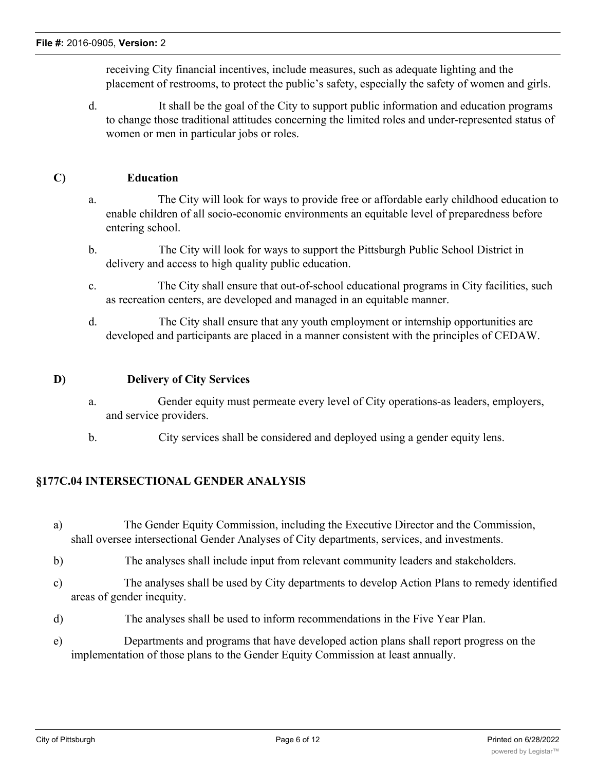receiving City financial incentives, include measures, such as adequate lighting and the placement of restrooms, to protect the public's safety, especially the safety of women and girls.

d. It shall be the goal of the City to support public information and education programs to change those traditional attitudes concerning the limited roles and under-represented status of women or men in particular jobs or roles.

#### **C) Education**

- a. The City will look for ways to provide free or affordable early childhood education to enable children of all socio-economic environments an equitable level of preparedness before entering school.
- b. The City will look for ways to support the Pittsburgh Public School District in delivery and access to high quality public education.
- c. The City shall ensure that out-of-school educational programs in City facilities, such as recreation centers, are developed and managed in an equitable manner.
- d. The City shall ensure that any youth employment or internship opportunities are developed and participants are placed in a manner consistent with the principles of CEDAW.

#### **D) Delivery of City Services**

- a. Gender equity must permeate every level of City operations-as leaders, employers, and service providers.
- b. City services shall be considered and deployed using a gender equity lens.

## **§177C.04 INTERSECTIONAL GENDER ANALYSIS**

- a) The Gender Equity Commission, including the Executive Director and the Commission, shall oversee intersectional Gender Analyses of City departments, services, and investments.
- b) The analyses shall include input from relevant community leaders and stakeholders.
- c) The analyses shall be used by City departments to develop Action Plans to remedy identified areas of gender inequity.
- d) The analyses shall be used to inform recommendations in the Five Year Plan.
- e) Departments and programs that have developed action plans shall report progress on the implementation of those plans to the Gender Equity Commission at least annually.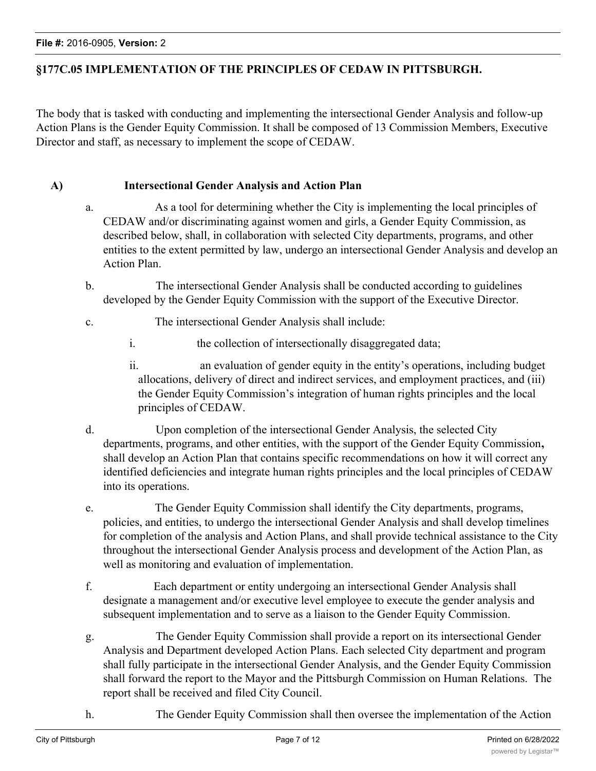## **§177C.05 IMPLEMENTATION OF THE PRINCIPLES OF CEDAW IN PITTSBURGH.**

The body that is tasked with conducting and implementing the intersectional Gender Analysis and follow-up Action Plans is the Gender Equity Commission. It shall be composed of 13 Commission Members, Executive Director and staff, as necessary to implement the scope of CEDAW.

#### **A) Intersectional Gender Analysis and Action Plan**

- a. As a tool for determining whether the City is implementing the local principles of CEDAW and/or discriminating against women and girls, a Gender Equity Commission, as described below, shall, in collaboration with selected City departments, programs, and other entities to the extent permitted by law, undergo an intersectional Gender Analysis and develop an Action Plan.
- b. The intersectional Gender Analysis shall be conducted according to guidelines developed by the Gender Equity Commission with the support of the Executive Director.
- c. The intersectional Gender Analysis shall include:
	- i. the collection of intersectionally disaggregated data;
	- ii. an evaluation of gender equity in the entity's operations, including budget allocations, delivery of direct and indirect services, and employment practices, and (iii) the Gender Equity Commission's integration of human rights principles and the local principles of CEDAW.
- d. Upon completion of the intersectional Gender Analysis, the selected City departments, programs, and other entities, with the support of the Gender Equity Commission**,** shall develop an Action Plan that contains specific recommendations on how it will correct any identified deficiencies and integrate human rights principles and the local principles of CEDAW into its operations.
- e. The Gender Equity Commission shall identify the City departments, programs, policies, and entities, to undergo the intersectional Gender Analysis and shall develop timelines for completion of the analysis and Action Plans, and shall provide technical assistance to the City throughout the intersectional Gender Analysis process and development of the Action Plan, as well as monitoring and evaluation of implementation.
- f. Each department or entity undergoing an intersectional Gender Analysis shall designate a management and/or executive level employee to execute the gender analysis and subsequent implementation and to serve as a liaison to the Gender Equity Commission.
- g. The Gender Equity Commission shall provide a report on its intersectional Gender Analysis and Department developed Action Plans. Each selected City department and program shall fully participate in the intersectional Gender Analysis, and the Gender Equity Commission shall forward the report to the Mayor and the Pittsburgh Commission on Human Relations. The report shall be received and filed City Council.
- h. The Gender Equity Commission shall then oversee the implementation of the Action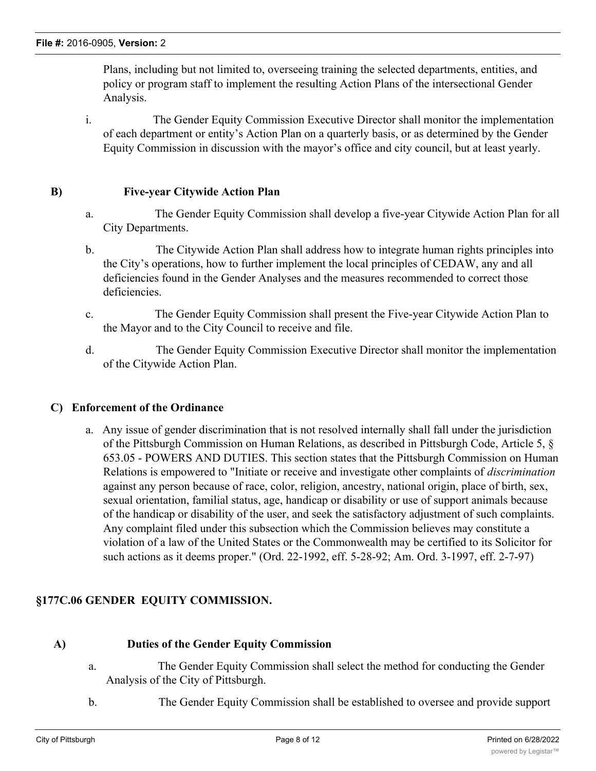Plans, including but not limited to, overseeing training the selected departments, entities, and policy or program staff to implement the resulting Action Plans of the intersectional Gender Analysis.

i. The Gender Equity Commission Executive Director shall monitor the implementation of each department or entity's Action Plan on a quarterly basis, or as determined by the Gender Equity Commission in discussion with the mayor's office and city council, but at least yearly.

#### **B) Five-year Citywide Action Plan**

- a. The Gender Equity Commission shall develop a five-year Citywide Action Plan for all City Departments.
- b. The Citywide Action Plan shall address how to integrate human rights principles into the City's operations, how to further implement the local principles of CEDAW, any and all deficiencies found in the Gender Analyses and the measures recommended to correct those deficiencies.
- c. The Gender Equity Commission shall present the Five-year Citywide Action Plan to the Mayor and to the City Council to receive and file.
- d. The Gender Equity Commission Executive Director shall monitor the implementation of the Citywide Action Plan.

#### **C) Enforcement of the Ordinance**

a. Any issue of gender discrimination that is not resolved internally shall fall under the jurisdiction of the Pittsburgh Commission on Human Relations, as described in Pittsburgh Code, Article 5, § 653.05 - POWERS AND DUTIES. This section states that the Pittsburgh Commission on Human Relations is empowered to "Initiate or receive and investigate other complaints of *discrimination* against any person because of race, color, religion, ancestry, national origin, place of birth, sex, sexual orientation, familial status, age, handicap or disability or use of support animals because of the handicap or disability of the user, and seek the satisfactory adjustment of such complaints. Any complaint filed under this subsection which the Commission believes may constitute a violation of a law of the United States or the Commonwealth may be certified to its Solicitor for such actions as it deems proper." (Ord. 22-1992, eff. 5-28-92; Am. Ord. 3-1997, eff. 2-7-97)

## **§177C.06 GENDER EQUITY COMMISSION.**

#### **A) Duties of the Gender Equity Commission**

- a. The Gender Equity Commission shall select the method for conducting the Gender Analysis of the City of Pittsburgh.
- b. The Gender Equity Commission shall be established to oversee and provide support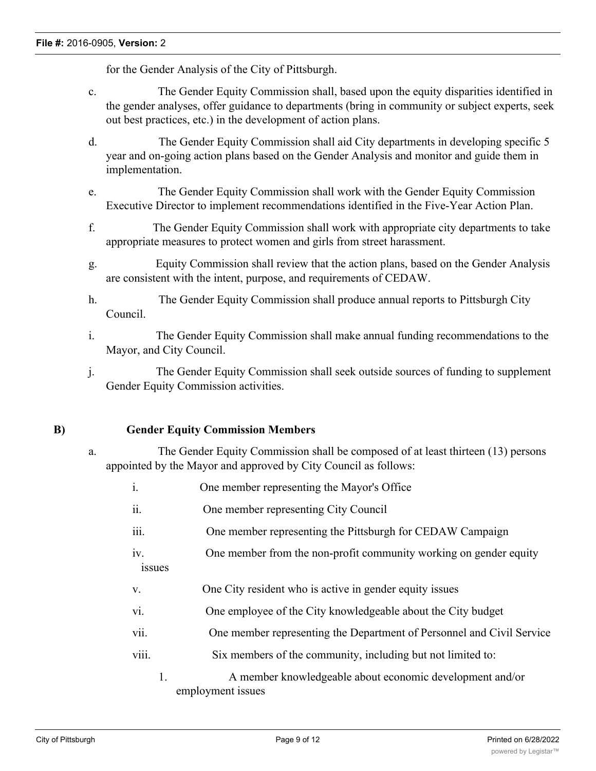for the Gender Analysis of the City of Pittsburgh.

- c. The Gender Equity Commission shall, based upon the equity disparities identified in the gender analyses, offer guidance to departments (bring in community or subject experts, seek out best practices, etc.) in the development of action plans.
- d. The Gender Equity Commission shall aid City departments in developing specific 5 year and on-going action plans based on the Gender Analysis and monitor and guide them in implementation.
- e. The Gender Equity Commission shall work with the Gender Equity Commission Executive Director to implement recommendations identified in the Five-Year Action Plan.
- f. The Gender Equity Commission shall work with appropriate city departments to take appropriate measures to protect women and girls from street harassment.
- g. Equity Commission shall review that the action plans, based on the Gender Analysis are consistent with the intent, purpose, and requirements of CEDAW.
- h. The Gender Equity Commission shall produce annual reports to Pittsburgh City Council.
- i. The Gender Equity Commission shall make annual funding recommendations to the Mayor, and City Council.
- j. The Gender Equity Commission shall seek outside sources of funding to supplement Gender Equity Commission activities.

#### **B) Gender Equity Commission Members**

- a. The Gender Equity Commission shall be composed of at least thirteen (13) persons appointed by the Mayor and approved by City Council as follows:
	- i. One member representing the Mayor's Office
	- ii. One member representing City Council
	- iii. One member representing the Pittsburgh for CEDAW Campaign
	- iv. One member from the non-profit community working on gender equity issues
	- v. One City resident who is active in gender equity issues
	- vi. One employee of the City knowledgeable about the City budget
	- vii. One member representing the Department of Personnel and Civil Service
	- viii. Six members of the community, including but not limited to:
		- 1. A member knowledgeable about economic development and/or employment issues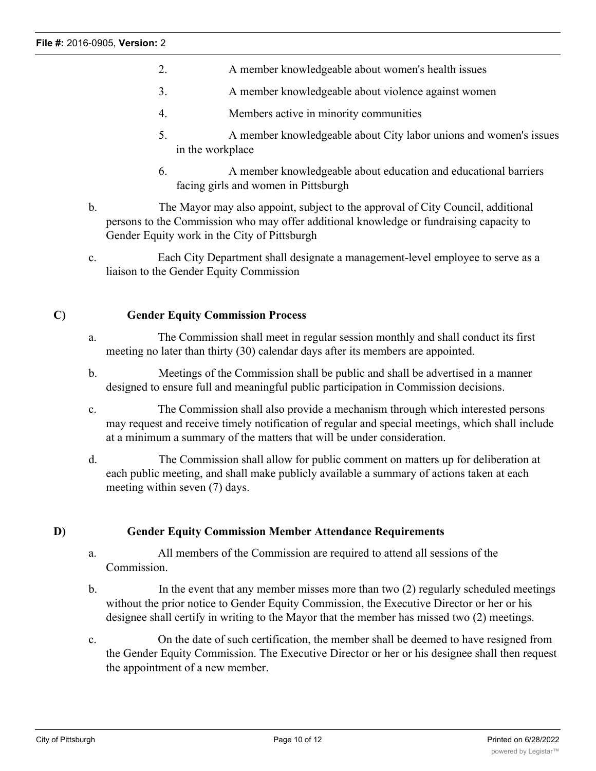- 2. A member knowledgeable about women's health issues
- 3. A member knowledgeable about violence against women
- 4. Members active in minority communities
- 5. A member knowledgeable about City labor unions and women's issues in the workplace
- 6. A member knowledgeable about education and educational barriers facing girls and women in Pittsburgh
- b. The Mayor may also appoint, subject to the approval of City Council, additional persons to the Commission who may offer additional knowledge or fundraising capacity to Gender Equity work in the City of Pittsburgh
- c. Each City Department shall designate a management-level employee to serve as a liaison to the Gender Equity Commission

## **C) Gender Equity Commission Process**

- a. The Commission shall meet in regular session monthly and shall conduct its first meeting no later than thirty (30) calendar days after its members are appointed.
- b. Meetings of the Commission shall be public and shall be advertised in a manner designed to ensure full and meaningful public participation in Commission decisions.
- c. The Commission shall also provide a mechanism through which interested persons may request and receive timely notification of regular and special meetings, which shall include at a minimum a summary of the matters that will be under consideration.
- d. The Commission shall allow for public comment on matters up for deliberation at each public meeting, and shall make publicly available a summary of actions taken at each meeting within seven (7) days.

## **D) Gender Equity Commission Member Attendance Requirements**

- a. All members of the Commission are required to attend all sessions of the Commission.
- b. In the event that any member misses more than two (2) regularly scheduled meetings without the prior notice to Gender Equity Commission, the Executive Director or her or his designee shall certify in writing to the Mayor that the member has missed two (2) meetings.
- c. On the date of such certification, the member shall be deemed to have resigned from the Gender Equity Commission. The Executive Director or her or his designee shall then request the appointment of a new member.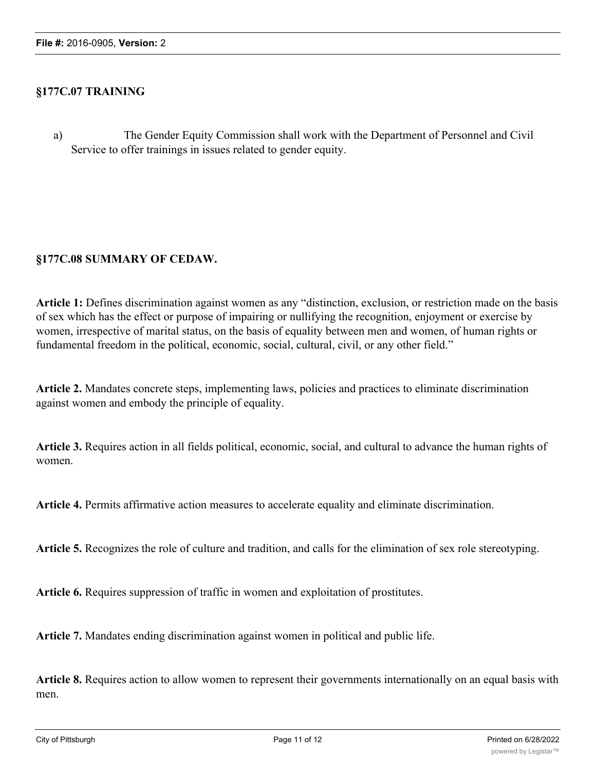#### **§177C.07 TRAINING**

a) The Gender Equity Commission shall work with the Department of Personnel and Civil Service to offer trainings in issues related to gender equity.

## **§177C.08 SUMMARY OF CEDAW.**

**Article 1:** Defines discrimination against women as any "distinction, exclusion, or restriction made on the basis of sex which has the effect or purpose of impairing or nullifying the recognition, enjoyment or exercise by women, irrespective of marital status, on the basis of equality between men and women, of human rights or fundamental freedom in the political, economic, social, cultural, civil, or any other field."

**Article 2.** Mandates concrete steps, implementing laws, policies and practices to eliminate discrimination against women and embody the principle of equality.

**Article 3.** Requires action in all fields political, economic, social, and cultural to advance the human rights of women.

**Article 4.** Permits affirmative action measures to accelerate equality and eliminate discrimination.

**Article 5.** Recognizes the role of culture and tradition, and calls for the elimination of sex role stereotyping.

**Article 6.** Requires suppression of traffic in women and exploitation of prostitutes.

**Article 7.** Mandates ending discrimination against women in political and public life.

**Article 8.** Requires action to allow women to represent their governments internationally on an equal basis with men.